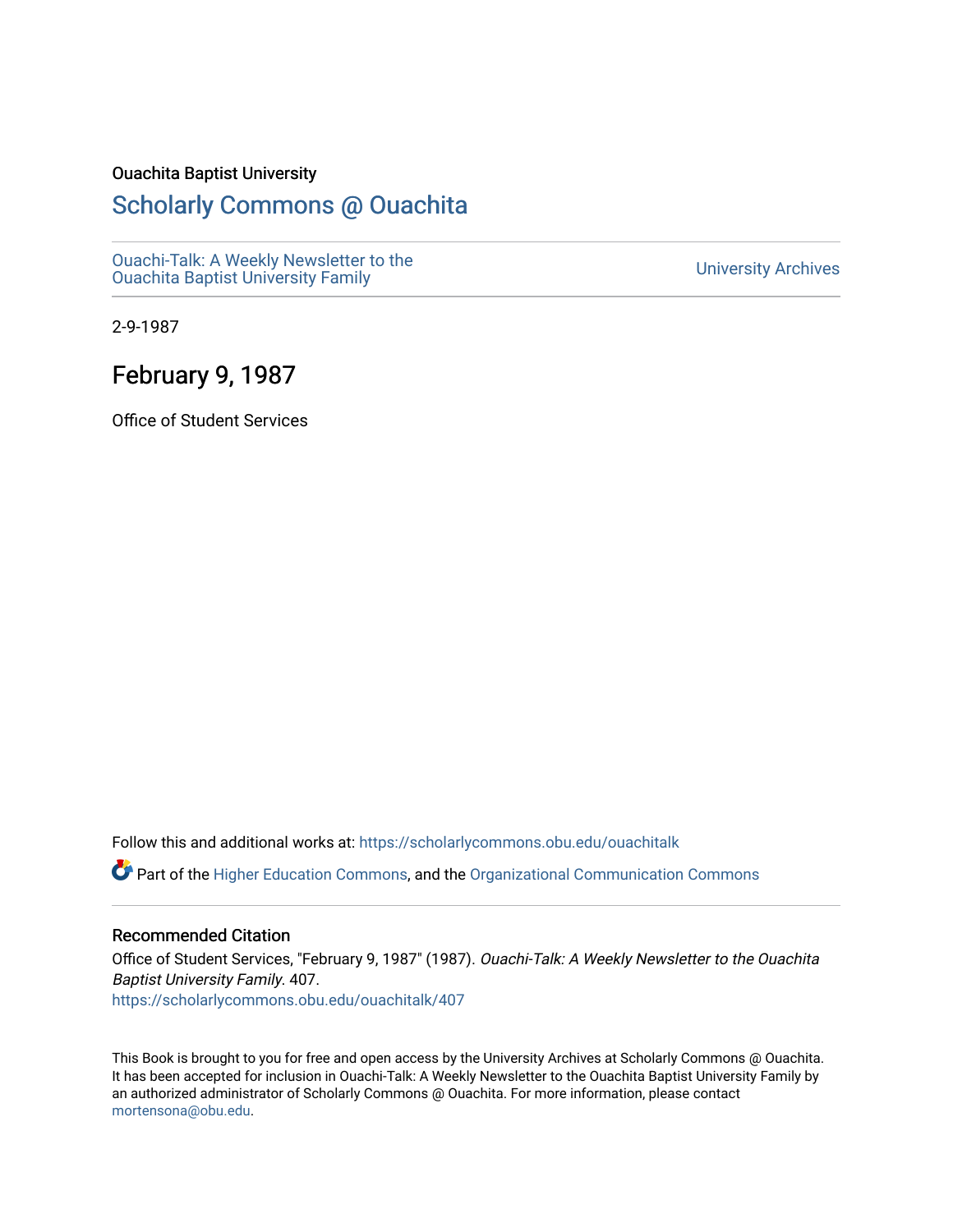### Ouachita Baptist University

## [Scholarly Commons @ Ouachita](https://scholarlycommons.obu.edu/)

[Ouachi-Talk: A Weekly Newsletter to the](https://scholarlycommons.obu.edu/ouachitalk)  Ouachi-Taik. A weekly Newsletter to the community of the University Archives<br>[Ouachita Baptist University Family](https://scholarlycommons.obu.edu/ouachitalk)

2-9-1987

## February 9, 1987

Office of Student Services

Follow this and additional works at: [https://scholarlycommons.obu.edu/ouachitalk](https://scholarlycommons.obu.edu/ouachitalk?utm_source=scholarlycommons.obu.edu%2Fouachitalk%2F407&utm_medium=PDF&utm_campaign=PDFCoverPages) 

Part of the [Higher Education Commons,](http://network.bepress.com/hgg/discipline/1245?utm_source=scholarlycommons.obu.edu%2Fouachitalk%2F407&utm_medium=PDF&utm_campaign=PDFCoverPages) and the [Organizational Communication Commons](http://network.bepress.com/hgg/discipline/335?utm_source=scholarlycommons.obu.edu%2Fouachitalk%2F407&utm_medium=PDF&utm_campaign=PDFCoverPages)

### Recommended Citation

Office of Student Services, "February 9, 1987" (1987). Ouachi-Talk: A Weekly Newsletter to the Ouachita Baptist University Family. 407. [https://scholarlycommons.obu.edu/ouachitalk/407](https://scholarlycommons.obu.edu/ouachitalk/407?utm_source=scholarlycommons.obu.edu%2Fouachitalk%2F407&utm_medium=PDF&utm_campaign=PDFCoverPages) 

This Book is brought to you for free and open access by the University Archives at Scholarly Commons @ Ouachita. It has been accepted for inclusion in Ouachi-Talk: A Weekly Newsletter to the Ouachita Baptist University Family by an authorized administrator of Scholarly Commons @ Ouachita. For more information, please contact [mortensona@obu.edu.](mailto:mortensona@obu.edu)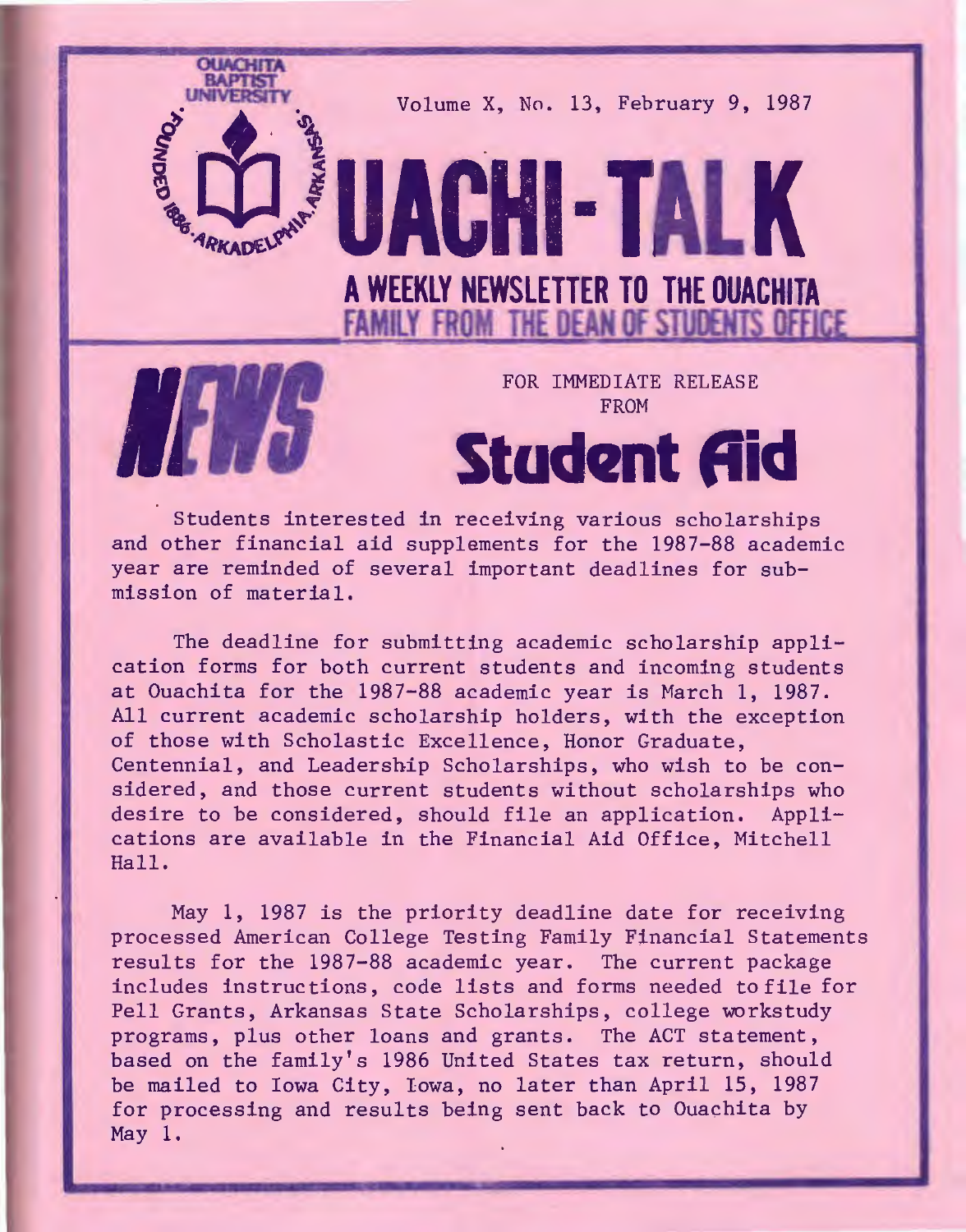

Students interested in receiving various scholarships and other financial aid supplements for the 1987-88 academic year are reminded of several important deadlines for submission of material.

The deadline for submitting academic scholarship application forms for both current students and incoming students at Ouachita for the 1987-88 academic year is March 1, 1987. All current academic scholarship holders, with the exception of those with Scholastic Excellence, Honor Graduate, Centennial, and Leadership Scholarships, who wish to be considered, and those current students without scholarships who desire to be considered, should file an application. Applications are available in the Financial Aid Office, Mitchell Hall.

May 1, 1987 is the priority deadline date for receiving processed American College Testing Family Financial Statements results for the 1987-88 academic year. The current package includes instructions, code lists and forms needed tofile for Pell Grants, Arkansas State Scholarships, college workstudy programs, plus other loans and grants. The ACT statement, based on the family's 1986 United States tax return, should be mailed to Iowa City, Iowa, no later than April 15, 1987 for processing and results being sent back to Ouachita by May 1.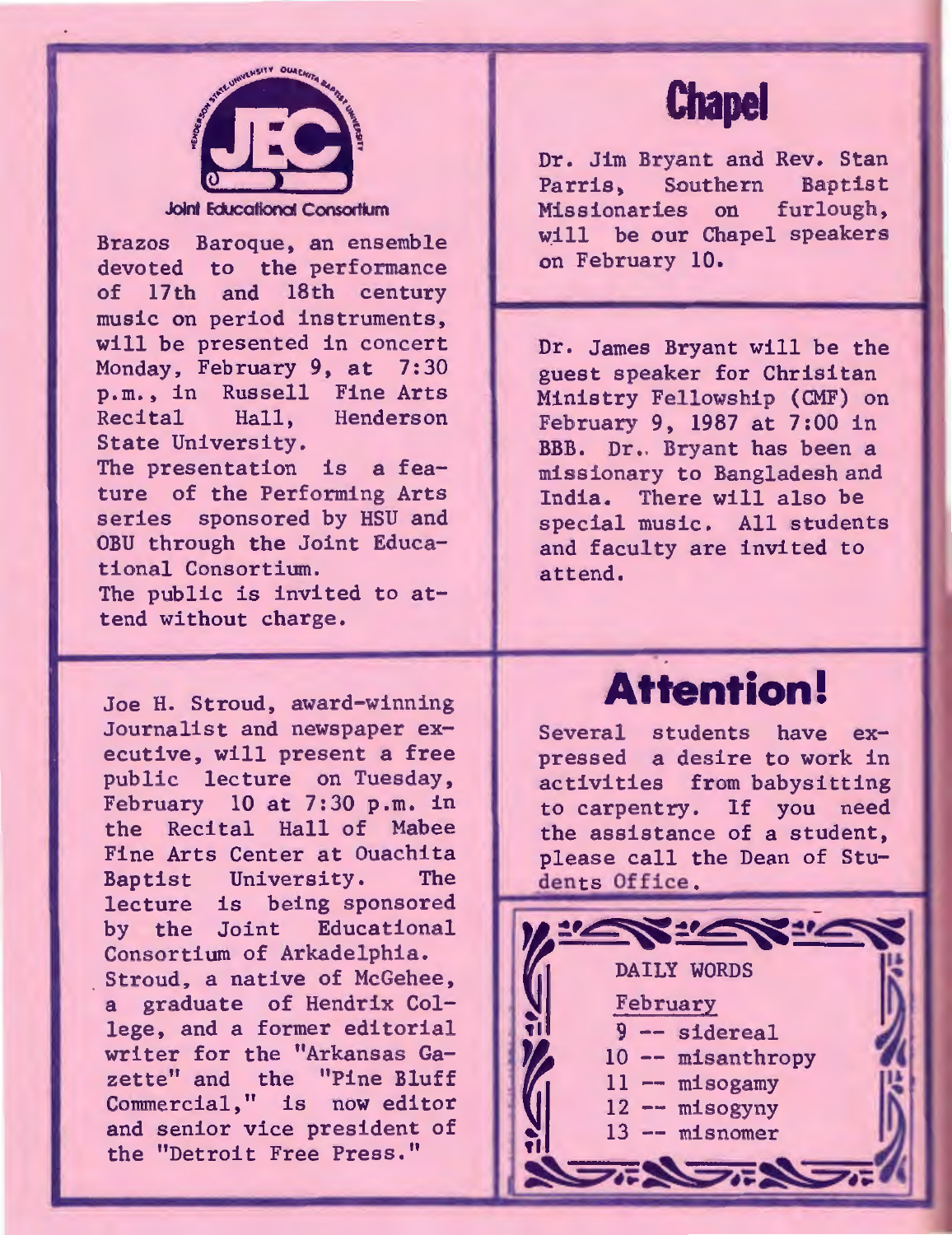

Joint Educational Consortium

Brazos Baroque, an ensemble devoted to the performance of 17th and 18th century music on period instruments, will be presented in concert Monday, February 9, at 7:30 p.m., in Russell Fine Arts<br>Recital Hall. Henderson Henderson State University.

The presentation is a feature of the Performing Arts series sponsored by HSU and OBU through the Joint Educational Consortium.

The public is invited to attend without charge.

Joe H. Stroud, award-winning Journalist and newspaper executive, will present a free public lecture on Tuesday, February 10 at 7:30 p.m. in the Recital Hall of Mabee Fine Arts Center at Ouachita Baptist University. lecture is being sponsored by the Joint Educational Consortium of Arkadelphia. Stroud, a native of McGehee, . a graduate of Hendrix College, and a former editorial writer for the "Arkansas Gazette" and the "Pine Bluff Commercial," is now editor and senior vice president of the "Detroit Free Press."

# **Chapel**

Dr. Jim Bryant and Rev. Stan Parris, Southern Baptist<br>Missionaries on furlough, Missionaries on will be our Chapel speakers on February 10.

Dr. James Bryant will be the guest speaker for Chrisitan Ministry Fellowship (CMF) on February 9, 1987 at 7:00 in BBB. Dr •. Bryant has been a missionary to Bangladesh and<br>India. There will also be There will also be special music. All students and faculty are invited to attend.

# **Attention!**

Several students have expressed a desire to work in activities from babysitting to carpentry. If you need the assistance of a student, please call the Dean of Students Office.

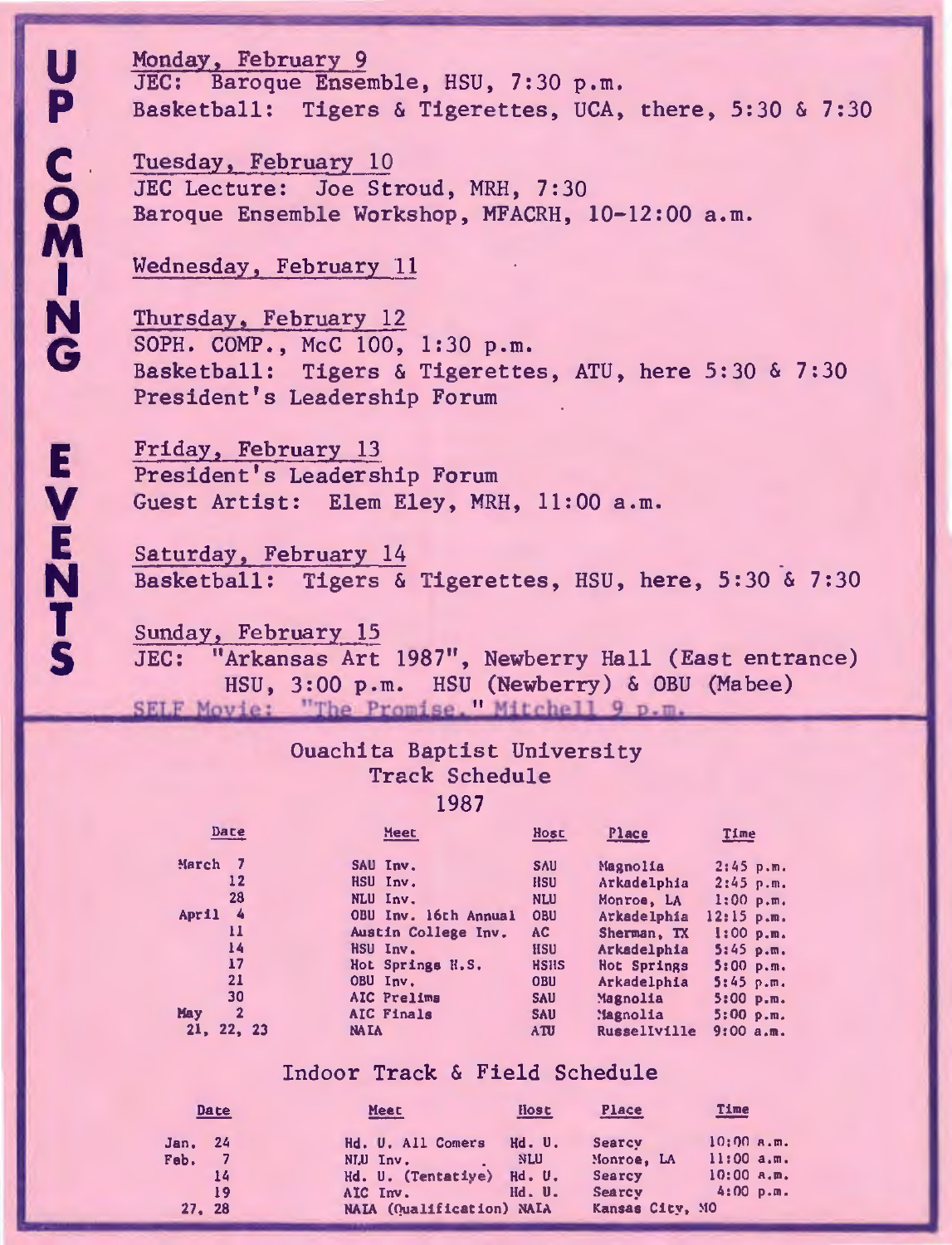**E N T**  5

Monday, February 9 JEC: Baroque Ensemble, HSU, 7:30 p.m. Basketball: Tigers & Tigerettes, UCA, there, 5:30 & 7:30

Tuesday, February 10 JEC Lecture: Joe Stroud, MRH, 7:30 Baroque Ensemble Workshop, MFACRH, 10-12:00 a.m.

Wednesday, February 11

Thursday, February 12 SOPH. COMP., McC 100, 1:30 p.m. Basketball: Tigers & Tigerettes, ATU, here 5:30 & 7:30 President's Leadership Forum

Friday, February 13 President's Leadership Forum Guest Artist: Elem Eley, MRH, 11:00 a.m.

Saturday, February 14 Basketball: Tigers & Tigerettes, HSU, here, 5:30 & 7:30

Sunday, February 15 JEC: "Arkansas Art 1987", Newberry Hall (East entrance)<br>HSU, 3:00 p.m. HSU (Newberry) & OBU (Mabee) SELF Movie: "The Promise. Mitchell 9 p.m.

#### Ouachita Baptist University Track Schedule 1987

| Date                  | Meet                 | Host        | Place                 | Time         |
|-----------------------|----------------------|-------------|-----------------------|--------------|
| March                 | SAU Inv.             | <b>SAU</b>  | Magnolia              | 2:45 p.m.    |
| 12                    | HSU Inv.             | <b>HSU</b>  | Arkadelphia           | $2:45$ p.m.  |
| 28                    | NLU Inv.             | <b>NLU</b>  | Monroe, LA            | $1:00$ p.m.  |
| 4<br>April            | OBU Inv. 16th Annual | OBU         | Arkadelphia           | $12:15$ p.m. |
| 11                    | Austin College Inv.  | AC          | Sherman, TX           | 1:00 p.m.    |
| 14                    | HSU Inv.             | <b>HSU</b>  | Arkadelphia           | $5:45$ p.m.  |
| 17                    | Hot Springs H.S.     | <b>HSHS</b> | Hot Springs           | 5:00 p.m.    |
| 21                    | OBU Inv.             | <b>OBU</b>  | Arkadelphia           | $5:45$ p.m.  |
| 30                    | AIC Prelima          | <b>SAU</b>  | Magnolia              | $5:00$ p.m.  |
| May<br>$\overline{2}$ | AIC Finals           | <b>SAU</b>  | Magnolia <sup>'</sup> | 5:00 p.m.    |
| 22, 23<br>21.         | <b>NA IA</b>         | <b>ATU</b>  | Russellville          | 9:00a.m.     |

#### Indoor Track & Field Schedule

|                | Date | Meet                      | <b>Host</b> | Place           | <b>Time</b>    |
|----------------|------|---------------------------|-------------|-----------------|----------------|
| <b>Jan, 24</b> |      | Hd. U. All Comers         | Hd.U.       | Searcy          | $10:00$ a.m.   |
| Feb.           |      | NLU Inv.                  | NLU         | Monroe, LA      | 11:00a.m.      |
|                | 14   | Hd. U. (Tentatiye) Hd. U. |             | Searcy          | $10:00$ $A.m.$ |
|                | 19   | AIC Inv.                  | Hd. U.      | Searcy          | $4:00$ p.m.    |
| 27.28          |      | NAIA (Qualification) NAIA |             | Kansas City, MO |                |